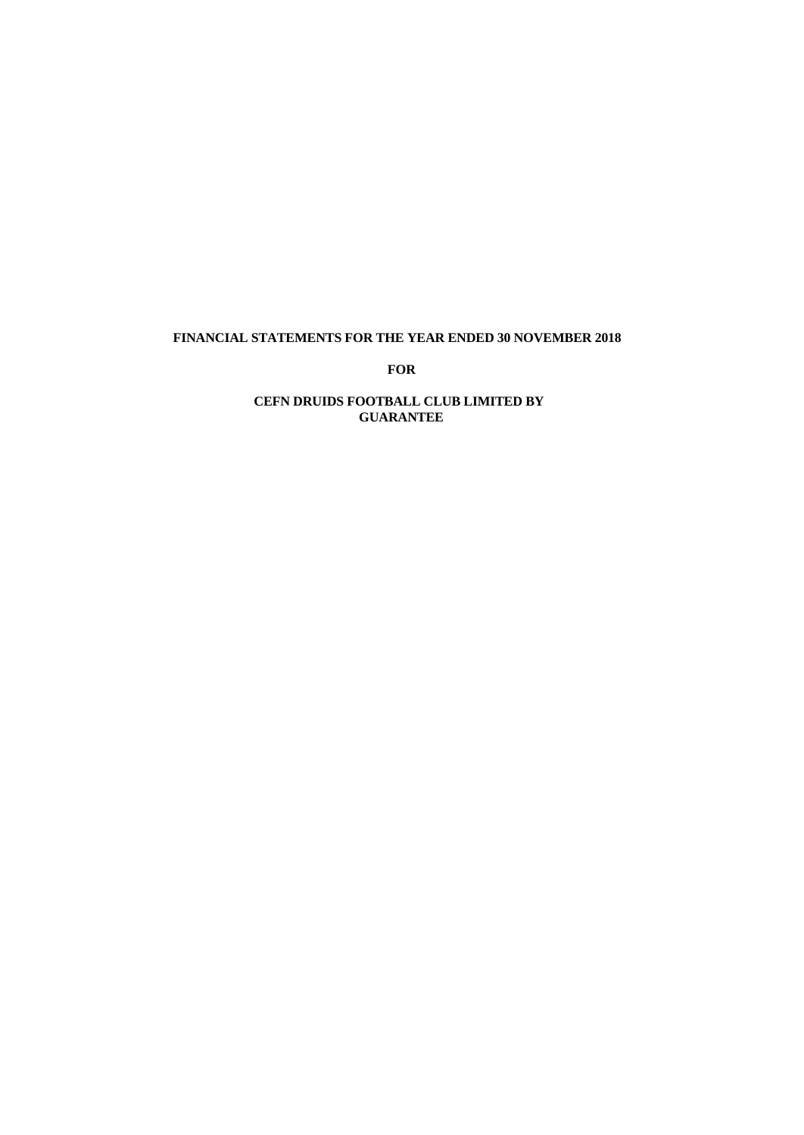# **FINANCIAL STATEMENTS FOR THE YEAR ENDED 30 NOVEMBER 2018**

**FOR**

# **CEFN DRUIDS FOOTBALL CLUB LIMITED BY GUARANTEE**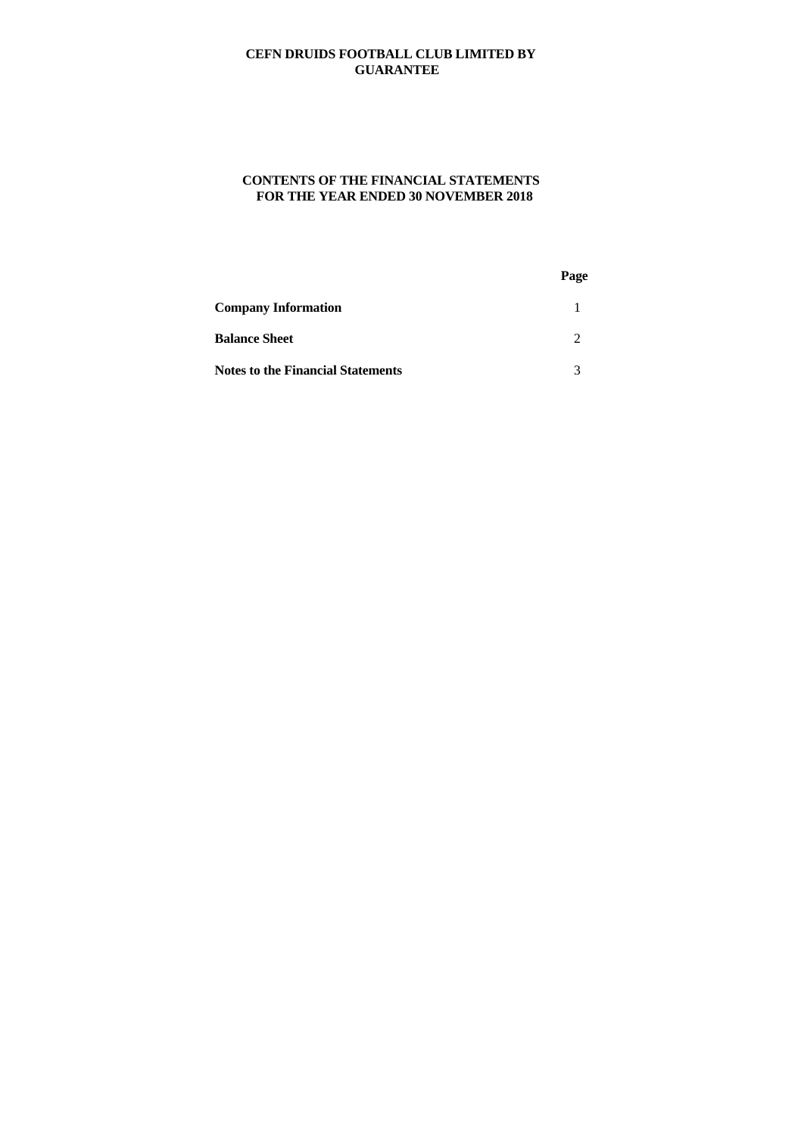# **CONTENTS OF THE FINANCIAL STATEMENTS FOR THE YEAR ENDED 30 NOVEMBER 2018**

|                                          | Page          |  |  |
|------------------------------------------|---------------|--|--|
| <b>Company Information</b>               |               |  |  |
| <b>Balance Sheet</b>                     | $\mathcal{D}$ |  |  |
| <b>Notes to the Financial Statements</b> | $\mathbf{z}$  |  |  |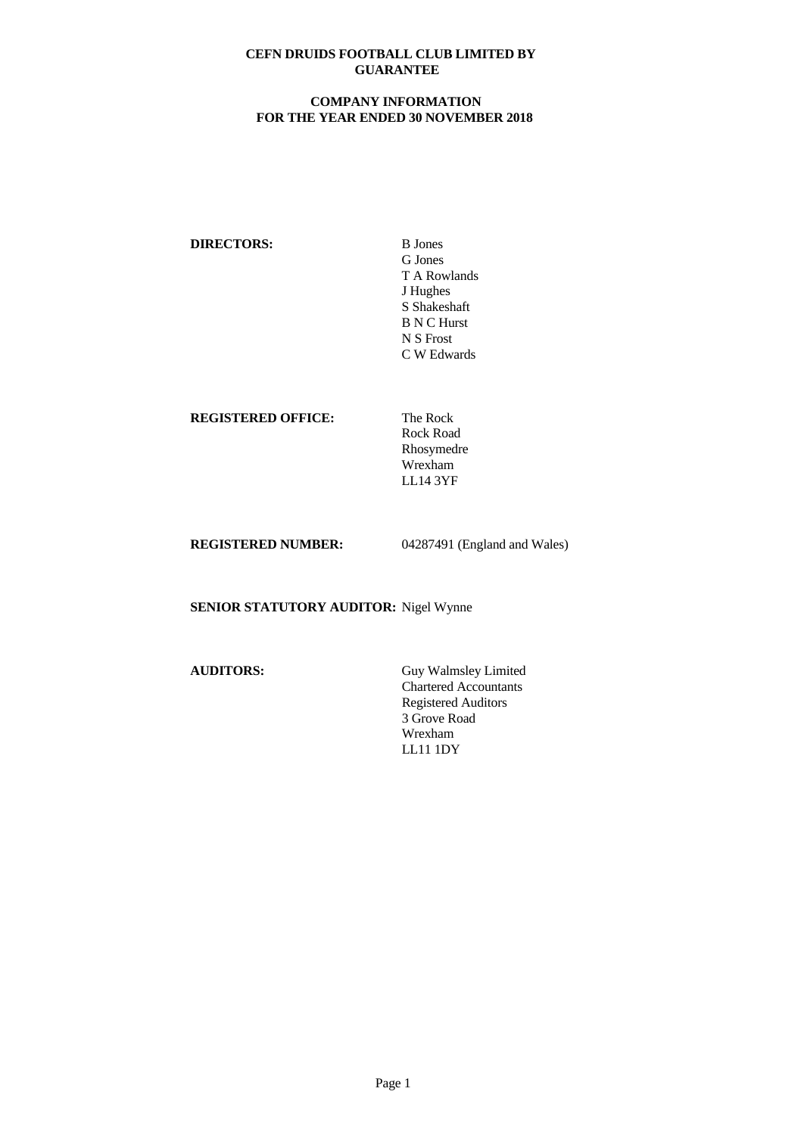# **COMPANY INFORMATION FOR THE YEAR ENDED 30 NOVEMBER 2018**

**DIRECTORS:** B Jones

G Jones T A Rowlands J Hughes S Shakeshaft B N C Hurst N S Frost C W Edwards

## **REGISTERED OFFICE:** The Rock

Rock Road Rhosymedre Wrexham LL14 3YF

**REGISTERED NUMBER:** 04287491 (England and Wales)

**SENIOR STATUTORY AUDITOR:** Nigel Wynne

**AUDITORS:** Guy Walmsley Limited Chartered Accountants Registered Auditors 3 Grove Road Wrexham LL11 1DY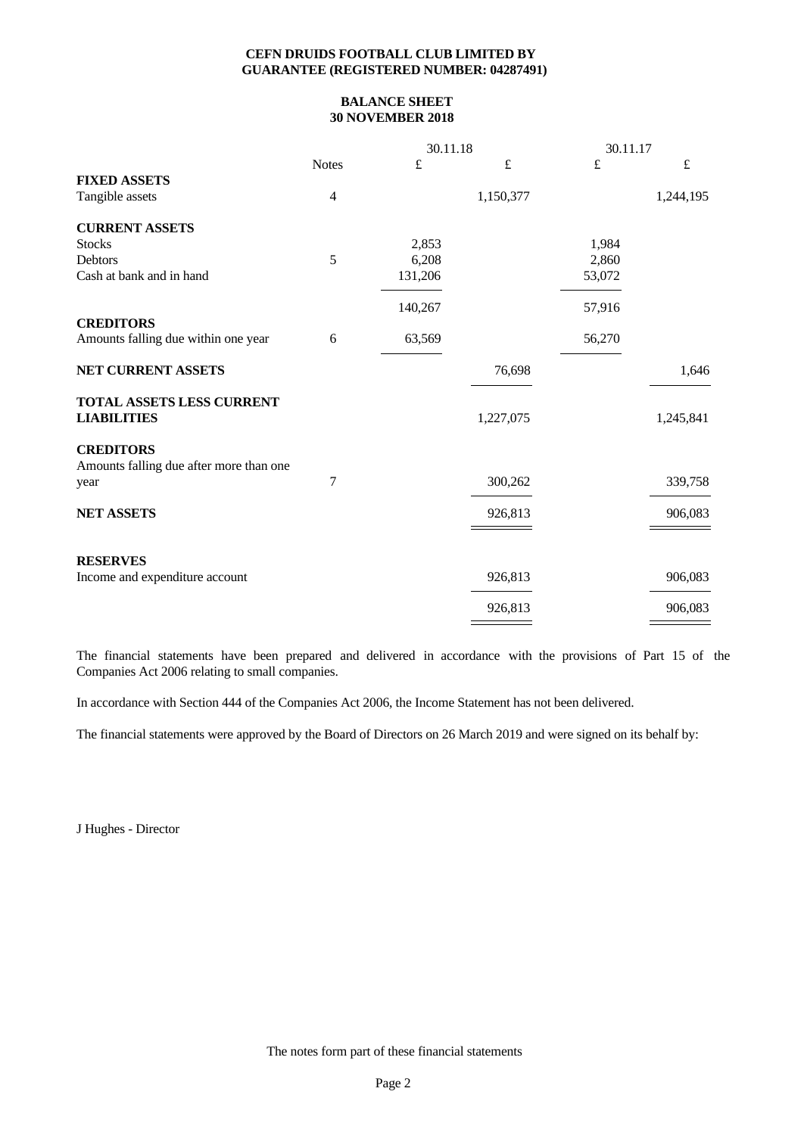# **CEFN DRUIDS FOOTBALL CLUB LIMITED BY GUARANTEE (REGISTERED NUMBER: 04287491)**

# **BALANCE SHEET 30 NOVEMBER 2018**

|                                         | 30.11.18     |           |           |           | 30.11.17  |  |
|-----------------------------------------|--------------|-----------|-----------|-----------|-----------|--|
|                                         | <b>Notes</b> | $\pounds$ | $\pounds$ | $\pounds$ | $\pounds$ |  |
| <b>FIXED ASSETS</b>                     |              |           |           |           |           |  |
| Tangible assets                         | 4            |           | 1,150,377 |           | 1,244,195 |  |
| <b>CURRENT ASSETS</b>                   |              |           |           |           |           |  |
| <b>Stocks</b>                           |              | 2,853     |           | 1,984     |           |  |
| Debtors                                 | 5            | 6,208     |           | 2,860     |           |  |
| Cash at bank and in hand                |              | 131,206   |           | 53,072    |           |  |
|                                         |              | 140,267   |           | 57,916    |           |  |
| <b>CREDITORS</b>                        |              |           |           |           |           |  |
| Amounts falling due within one year     | 6            | 63,569    |           | 56,270    |           |  |
| NET CURRENT ASSETS                      |              |           | 76,698    |           | 1,646     |  |
| <b>TOTAL ASSETS LESS CURRENT</b>        |              |           |           |           |           |  |
| <b>LIABILITIES</b>                      |              |           | 1,227,075 |           | 1,245,841 |  |
| <b>CREDITORS</b>                        |              |           |           |           |           |  |
| Amounts falling due after more than one |              |           |           |           |           |  |
| year                                    | 7            |           | 300,262   |           | 339,758   |  |
| <b>NET ASSETS</b>                       |              |           | 926,813   |           | 906,083   |  |
|                                         |              |           |           |           |           |  |
| <b>RESERVES</b>                         |              |           |           |           |           |  |
| Income and expenditure account          |              |           | 926,813   |           | 906,083   |  |
|                                         |              |           | 926,813   |           | 906,083   |  |
|                                         |              |           |           |           |           |  |

The financial statements have been prepared and delivered in accordance with the provisions of Part 15 of the Companies Act 2006 relating to small companies.

In accordance with Section 444 of the Companies Act 2006, the Income Statement has not been delivered.

The financial statements were approved by the Board of Directors on 26 March 2019 and were signed on its behalf by:

J Hughes - Director

The notes form part of these financial statements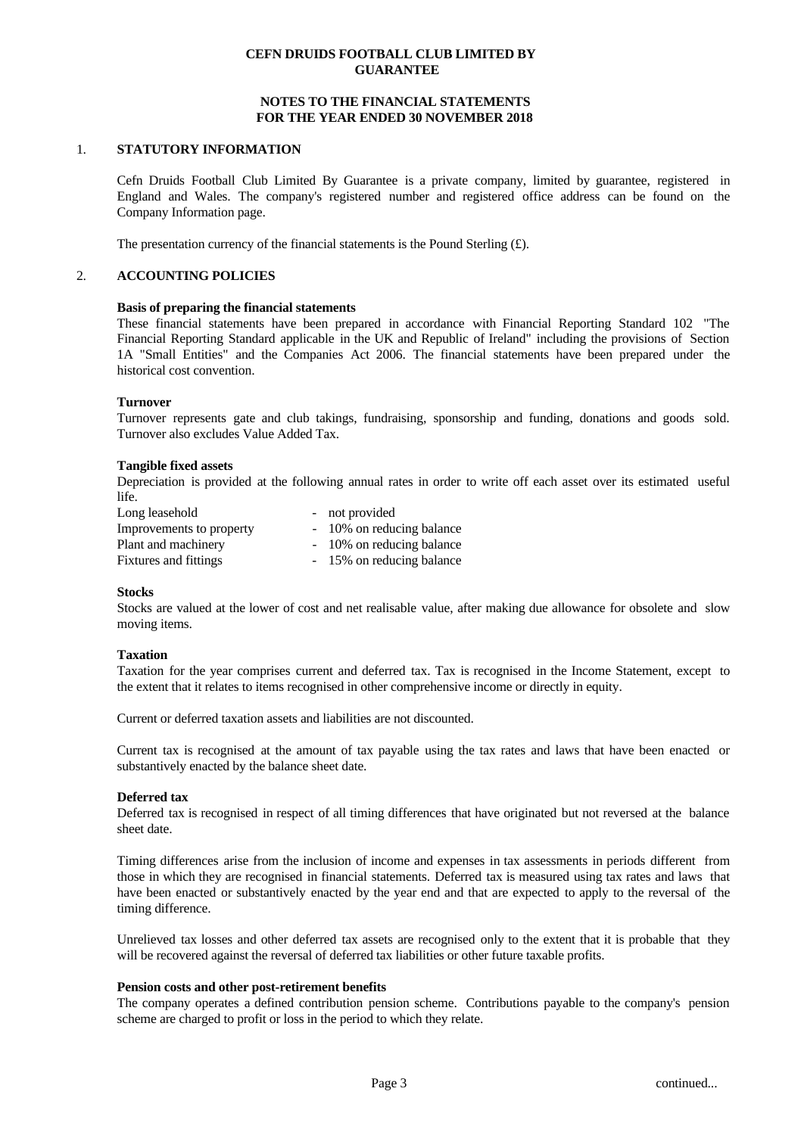## **NOTES TO THE FINANCIAL STATEMENTS FOR THE YEAR ENDED 30 NOVEMBER 2018**

## 1. **STATUTORY INFORMATION**

Cefn Druids Football Club Limited By Guarantee is a private company, limited by guarantee, registered in England and Wales. The company's registered number and registered office address can be found on the Company Information page.

The presentation currency of the financial statements is the Pound Sterling  $(f)$ .

## 2. **ACCOUNTING POLICIES**

## **Basis of preparing the financial statements**

These financial statements have been prepared in accordance with Financial Reporting Standard 102 "The Financial Reporting Standard applicable in the UK and Republic of Ireland" including the provisions of Section 1A "Small Entities" and the Companies Act 2006. The financial statements have been prepared under the historical cost convention.

## **Turnover**

Turnover represents gate and club takings, fundraising, sponsorship and funding, donations and goods sold. Turnover also excludes Value Added Tax.

#### **Tangible fixed assets**

Depreciation is provided at the following annual rates in order to write off each asset over its estimated useful life.

| Long leasehold           | - not provided            |
|--------------------------|---------------------------|
| Improvements to property | - 10% on reducing balance |
| Plant and machinery      | - 10% on reducing balance |
| Fixtures and fittings    | - 15% on reducing balance |

## **Stocks**

Stocks are valued at the lower of cost and net realisable value, after making due allowance for obsolete and slow moving items.

#### **Taxation**

Taxation for the year comprises current and deferred tax. Tax is recognised in the Income Statement, except to the extent that it relates to items recognised in other comprehensive income or directly in equity.

Current or deferred taxation assets and liabilities are not discounted.

Current tax is recognised at the amount of tax payable using the tax rates and laws that have been enacted or substantively enacted by the balance sheet date.

#### **Deferred tax**

Deferred tax is recognised in respect of all timing differences that have originated but not reversed at the balance sheet date.

Timing differences arise from the inclusion of income and expenses in tax assessments in periods different from those in which they are recognised in financial statements. Deferred tax is measured using tax rates and laws that have been enacted or substantively enacted by the yearend and that are expected to apply to the reversal of the timing difference.

Unrelieved tax losses and other deferred tax assets are recognised only to the extent that it is probable that they will be recovered against the reversal of deferred tax liabilities or other future taxable profits.

#### **Pension costs and other post-retirement benefits**

The company operates a defined contribution pension scheme. Contributions payable to the company's pension scheme are charged to profit or loss in the period to which they relate.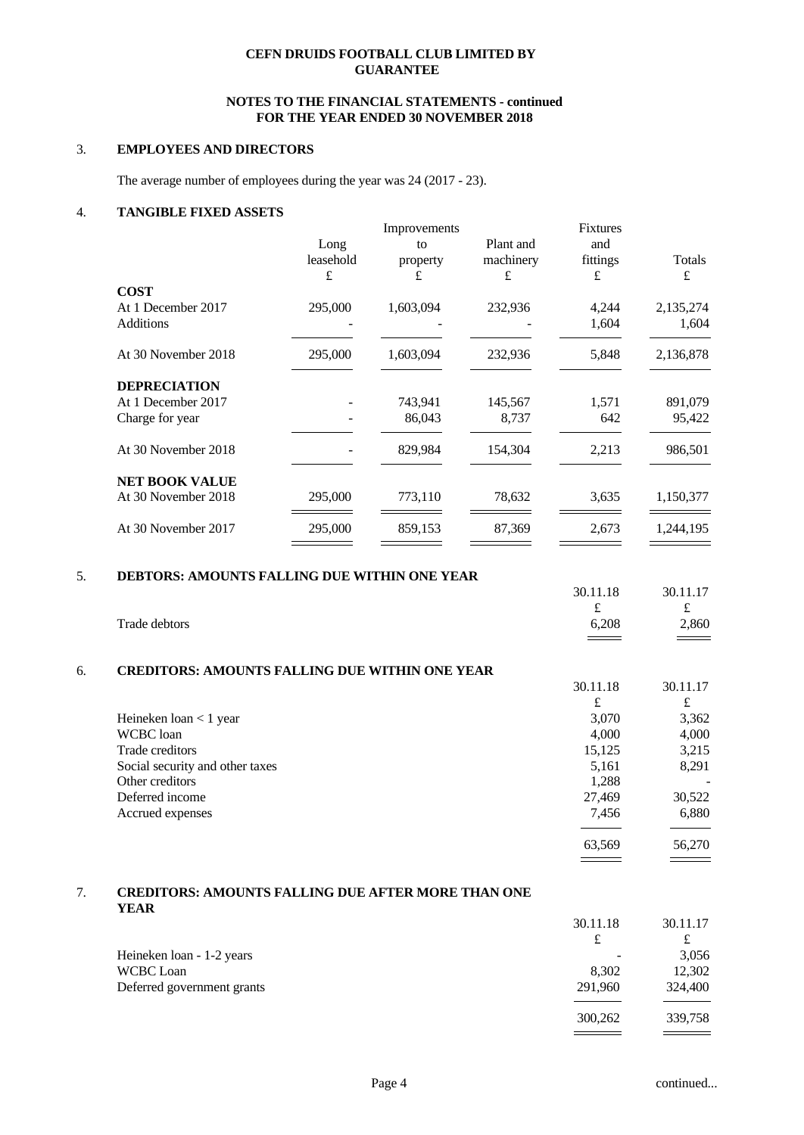# **NOTES TO THE FINANCIAL STATEMENTS - continued FOR THE YEAR ENDED 30 NOVEMBER 2018**

# 3. **EMPLOYEES AND DIRECTORS**

The average number of employees during the year was 24 (2017 - 23).

# 4. **TANGIBLE FIXED ASSETS**

|                       |           | Improvements |           | <b>Fixtures</b> |           |
|-----------------------|-----------|--------------|-----------|-----------------|-----------|
|                       | Long      | to           | Plant and | and             |           |
|                       | leasehold | property     | machinery | fittings        | Totals    |
|                       | £         | £            | £         | £               | £         |
| <b>COST</b>           |           |              |           |                 |           |
| At 1 December 2017    | 295,000   | 1,603,094    | 232,936   | 4,244           | 2,135,274 |
| Additions             |           |              |           | 1,604           | 1,604     |
| At 30 November 2018   | 295,000   | 1,603,094    | 232,936   | 5,848           | 2,136,878 |
| <b>DEPRECIATION</b>   |           |              |           |                 |           |
| At 1 December 2017    |           | 743,941      | 145,567   | 1,571           | 891,079   |
| Charge for year       |           | 86,043       | 8,737     | 642             | 95,422    |
| At 30 November 2018   |           | 829,984      | 154,304   | 2,213           | 986,501   |
| <b>NET BOOK VALUE</b> |           |              |           |                 |           |
| At 30 November 2018   | 295,000   | 773,110      | 78,632    | 3,635           | 1,150,377 |
| At 30 November 2017   | 295,000   | 859,153      | 87,369    | 2,673           | 1,244,195 |
|                       |           |              |           |                 |           |

# 5. **DEBTORS: AMOUNTS FALLING DUE WITHIN ONE YEAR**

|                                                       | 30.11.18 | 30.11.17 |
|-------------------------------------------------------|----------|----------|
|                                                       | £        | £        |
| Trade debtors                                         | 6,208    | 2,860    |
|                                                       |          |          |
| <b>CREDITORS: AMOUNTS FALLING DUE WITHIN ONE YEAR</b> |          |          |
|                                                       | 30.11.18 | 30.11.17 |
|                                                       | £        | £        |
| Heineken $\text{Ioan} < 1$ year                       | 3,070    | 3,362    |
| <b>WCBC</b> loan                                      | 4,000    | 4,000    |
| Trade creditors                                       | 15,125   | 3,215    |
| Social security and other taxes                       | 5,161    | 8,291    |
| Other creditors                                       | 1,288    |          |
| Deferred income                                       | 27,469   | 30,522   |
| Accrued expenses                                      | 7,456    | 6,880    |
|                                                       | 63,569   | 56,270   |

**YEAR** 

|                            | 30.11.18                 | 30.11.17 |  |
|----------------------------|--------------------------|----------|--|
|                            | £                        | £        |  |
| Heineken loan - 1-2 years  | $\overline{\phantom{a}}$ | 3,056    |  |
| WCBC Loan                  | 8,302                    | 12,302   |  |
| Deferred government grants | 291,960                  | 324,400  |  |
|                            |                          |          |  |
|                            | 300,262                  | 339,758  |  |